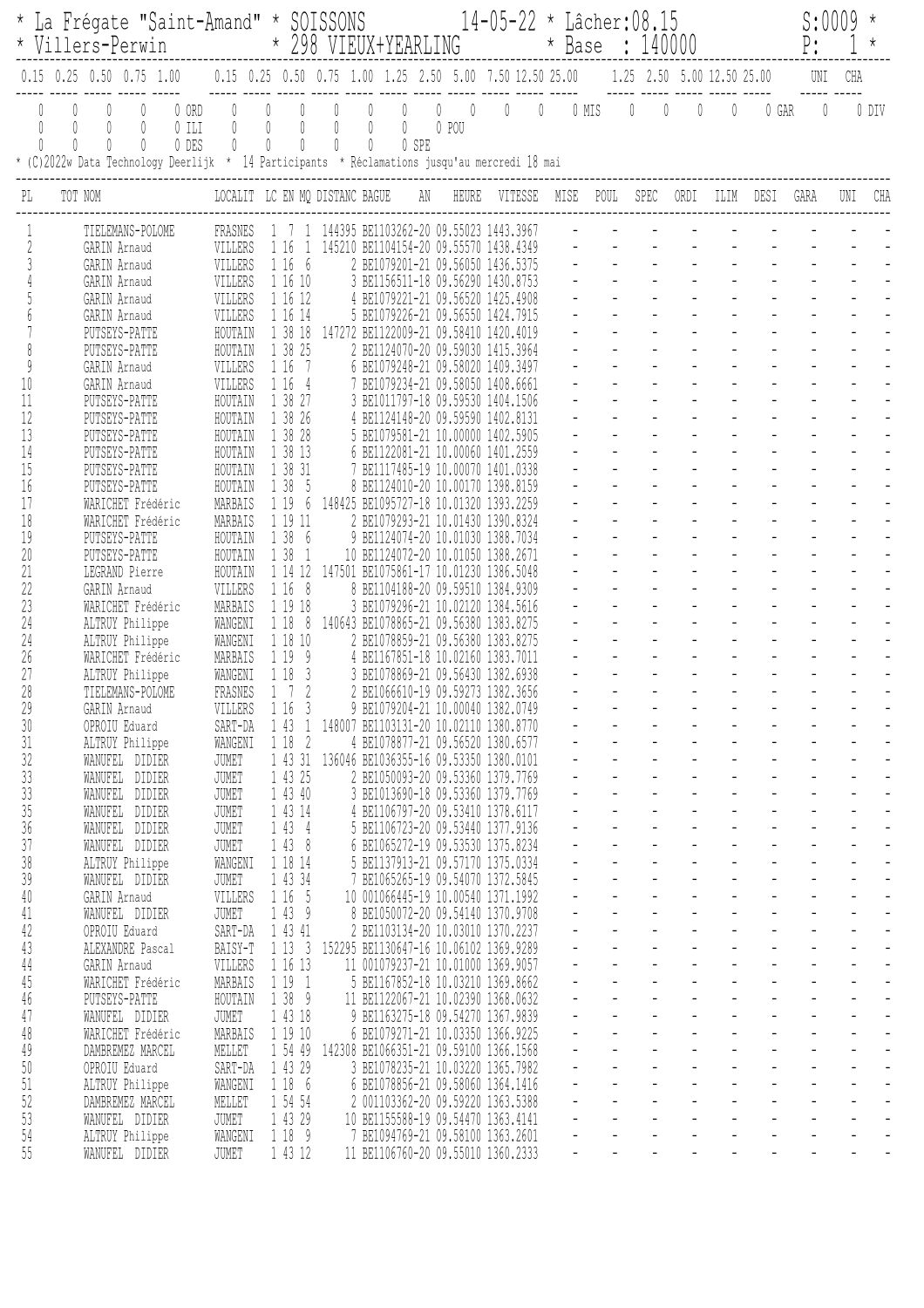|                              |         | * Villers-Perwin                                                                                   |                           |                                                                                                                     |                                    | * La Frégate "Saint-Amand" * SOISSONS 14-05-22 * Lâcher:08.15<br>* 298 VIEUX+YEARLING<br>* Base : 140000 |                                               |                                                          |                                                                         |                       |                |              |                |      |                           | S:0009<br>P:         |                                  |                                  |                                               |                                            |                            |          |                |
|------------------------------|---------|----------------------------------------------------------------------------------------------------|---------------------------|---------------------------------------------------------------------------------------------------------------------|------------------------------------|----------------------------------------------------------------------------------------------------------|-----------------------------------------------|----------------------------------------------------------|-------------------------------------------------------------------------|-----------------------|----------------|--------------|----------------|------|---------------------------|----------------------|----------------------------------|----------------------------------|-----------------------------------------------|--------------------------------------------|----------------------------|----------|----------------|
|                              |         | $0.15$ $0.25$ $0.50$ $0.75$ $1.00$                                                                 |                           | $0.15$ $0.25$ $0.50$ $0.75$ $1.00$ $1.25$ $2.50$ $5.00$ $7.50$ $12.50$ $25.00$ $1.25$ $2.50$ $5.00$ $12.50$ $25.00$ |                                    |                                                                                                          |                                               |                                                          |                                                                         |                       |                |              |                |      |                           |                      |                                  |                                  |                                               |                                            | UNI                        | CHA      |                |
| $\theta$<br>$\left( \right)$ | 0<br>O  | 0<br>* (C)2022w Data Technology Deerlijk * 14 Participants * Réclamations jusqu'au mercredi 18 mai | 0 ORD<br>$0$ ILI<br>0 DES | 0<br>0                                                                                                              | $\overline{0}$<br>$\mathbb O$<br>0 | $\overline{0}$<br>$\mathbb O$<br>$\begin{matrix} \end{matrix}$                                           | $\overline{0}$<br>0<br>0                      | $\begin{matrix} 0 \\ 0 \end{matrix}$<br>$\emptyset$<br>0 | $\theta$<br>0<br>0 SPE                                                  | $\mathbb{O}$<br>0 POU | $\overline{0}$ | $\mathbb{O}$ | $\overline{0}$ |      | $0$ MIS $0$ 0             |                      |                                  | 0                                | $\mathbf 0$                                   | 0 GAR                                      | $\mathbb{O}$               |          | 0 DIV          |
|                              | TOT NOM |                                                                                                    |                           | LOCALIT LC EN MQ DISTANC BAGUE AN                                                                                   |                                    |                                                                                                          |                                               |                                                          |                                                                         |                       | HEURE          | VITESSE      |                | MISE | POUL                      |                      | SPEC                             | ORDI                             | ILIM                                          | DESI                                       | GARA                       | UNI      | CHA            |
|                              |         | TIELEMANS-POLOME                                                                                   |                           | FRASNES                                                                                                             |                                    |                                                                                                          |                                               |                                                          | 144395 BE1103262-20 09.55023 1443.3967                                  |                       |                |              |                |      |                           |                      |                                  |                                  |                                               |                                            |                            |          |                |
|                              |         | GARIN Arnaud                                                                                       |                           | VILLERS                                                                                                             |                                    | 1 16                                                                                                     |                                               |                                                          | 145210 BE1104154-20 09.55570 1438.4349                                  |                       |                |              |                |      |                           |                      |                                  |                                  |                                               |                                            |                            |          |                |
|                              |         | GARIN Arnaud<br>GARIN Arnaud                                                                       |                           | VILLERS<br>VILLERS                                                                                                  |                                    | 1 16 6<br>1 16 10                                                                                        |                                               |                                                          | 2 BE1079201-21 09.56050 1436.5375<br>3 BE1156511-18 09.56290 1430.8753  |                       |                |              |                |      |                           |                      |                                  |                                  |                                               |                                            |                            |          |                |
|                              |         | GARIN Arnaud                                                                                       |                           | VILLERS                                                                                                             |                                    | 1 16 12                                                                                                  |                                               |                                                          | 4 BE1079221-21 09.56520 1425.4908                                       |                       |                |              |                |      |                           |                      |                                  |                                  |                                               |                                            |                            |          |                |
|                              |         | GARIN Arnaud                                                                                       |                           | VILLERS                                                                                                             |                                    | 1 16 14                                                                                                  |                                               |                                                          | 5 BE1079226-21 09.56550 1424.7915                                       |                       |                |              |                |      |                           |                      |                                  |                                  |                                               |                                            |                            |          |                |
|                              |         | PUTSEYS-PATTE                                                                                      |                           | HOUTAIN                                                                                                             |                                    | 1 38 18                                                                                                  |                                               |                                                          | 147272 BE1122009-21 09.58410 1420.4019                                  |                       |                |              |                |      |                           |                      |                                  |                                  |                                               |                                            |                            |          |                |
|                              |         | PUTSEYS-PATTE                                                                                      |                           | HOUTAIN                                                                                                             |                                    | 1 38 25                                                                                                  |                                               |                                                          | 2 BE1124070-20 09.59030 1415.3964                                       |                       |                |              |                |      |                           |                      |                                  |                                  |                                               |                                            |                            |          |                |
| 9<br>10                      |         | GARIN Arnaud<br>GARIN Arnaud                                                                       |                           | VILLERS<br>VILLERS                                                                                                  |                                    | 1 16<br>7<br>1 16<br>4                                                                                   |                                               |                                                          | 6 BE1079248-21 09.58020 1409.3497<br>BE1079234-21 09.58050 1408.6661    |                       |                |              |                |      |                           |                      |                                  |                                  |                                               |                                            |                            |          |                |
| 11                           |         | PUTSEYS-PATTE                                                                                      |                           | HOUTAIN                                                                                                             |                                    | 1 38 27                                                                                                  |                                               |                                                          | 3 BE1011797-18 09.59530 1404.1506                                       |                       |                |              |                |      |                           |                      |                                  |                                  |                                               |                                            |                            |          |                |
| 12                           |         | PUTSEYS-PATTE                                                                                      |                           | HOUTAIN                                                                                                             |                                    | 1 38 26                                                                                                  |                                               |                                                          | 4 BE1124148-20 09.59590 1402.8131                                       |                       |                |              |                |      |                           |                      |                                  |                                  |                                               |                                            |                            |          |                |
| 13                           |         | PUTSEYS-PATTE                                                                                      |                           | HOUTAIN                                                                                                             |                                    | 1 38 28                                                                                                  |                                               |                                                          | 5 BE1079581-21 10.00000 1402.5905                                       |                       |                |              |                |      |                           |                      |                                  |                                  |                                               |                                            |                            |          |                |
| 14                           |         | PUTSEYS-PATTE                                                                                      |                           | HOUTAIN                                                                                                             |                                    | 1 38 13                                                                                                  |                                               |                                                          | 6 BE1122081-21 10.00060 1401.2559                                       |                       |                |              |                |      |                           |                      |                                  |                                  |                                               |                                            |                            |          |                |
| 15<br>16                     |         | PUTSEYS-PATTE<br>PUTSEYS-PATTE                                                                     |                           | HOUTAIN<br>HOUTAIN                                                                                                  |                                    | 1 38 31<br>1 38<br>5                                                                                     |                                               |                                                          | BE1117485-19 10.00070 1401.0338<br>8 BE1124010-20 10.00170 1398.8159    |                       |                |              |                |      |                           |                      |                                  |                                  |                                               |                                            |                            |          |                |
| 17                           |         | WARICHET Frédéric                                                                                  |                           | MARBAIS                                                                                                             |                                    | 1 19<br>- 6                                                                                              |                                               |                                                          | 148425 BE1095727-18 10.01320 1393.2259                                  |                       |                |              |                |      |                           |                      |                                  |                                  |                                               |                                            |                            |          |                |
| 18                           |         | WARICHET Frédéric                                                                                  |                           | MARBAIS                                                                                                             |                                    | 1 19 11                                                                                                  |                                               |                                                          | 2 BE1079293-21 10.01430 1390.8324                                       |                       |                |              |                |      |                           |                      |                                  |                                  |                                               |                                            |                            |          |                |
| 19                           |         | PUTSEYS-PATTE                                                                                      |                           | HOUTAIN                                                                                                             |                                    | 138<br>- 6                                                                                               |                                               |                                                          | 9 BE1124074-20 10.01030 1388.7034                                       |                       |                |              |                |      |                           |                      |                                  |                                  |                                               |                                            |                            |          |                |
| 20                           |         | PUTSEYS-PATTE                                                                                      |                           | HOUTAIN                                                                                                             |                                    | 1 38<br>-1                                                                                               |                                               |                                                          | 10 BE1124072-20 10.01050 1388.2671                                      |                       |                |              |                |      |                           |                      |                                  |                                  |                                               |                                            |                            |          |                |
| 21<br>22                     |         | LEGRAND Pierre<br>GARIN Arnaud                                                                     |                           | HOUTAIN<br>VILLERS                                                                                                  |                                    | 1 14 12<br>$\delta$<br>116                                                                               |                                               |                                                          | 147501 BE1075861-17 10.01230 1386.5048<br>BE1104188-20 09.59510         |                       |                | 1384.9309    |                |      |                           |                      |                                  |                                  |                                               |                                            |                            |          |                |
| 23                           |         | WARICHET Frédéric                                                                                  |                           | MARBAIS                                                                                                             |                                    | 1 19 18                                                                                                  |                                               |                                                          | 3 BE1079296-21 10.02120 1384.5616                                       |                       |                |              |                |      |                           |                      |                                  |                                  |                                               |                                            |                            |          |                |
| 24                           |         | ALTRUY Philippe                                                                                    |                           | WANGENI                                                                                                             |                                    | 118<br>- 8                                                                                               |                                               |                                                          | 140643 BE1078865-21 09.56380 1383.8275                                  |                       |                |              |                |      |                           |                      |                                  |                                  |                                               |                                            |                            |          |                |
| 24                           |         | ALTRUY Philippe                                                                                    |                           | WANGENI                                                                                                             |                                    | 1 18 10                                                                                                  |                                               |                                                          | 2 BE1078859-21 09.56380 1383.8275                                       |                       |                |              |                |      |                           |                      |                                  |                                  |                                               |                                            |                            |          |                |
| 26                           |         | WARICHET Frédéric                                                                                  |                           | MARBAIS                                                                                                             |                                    | 1 19<br>- 9                                                                                              |                                               |                                                          | 4 BE1167851-18 10.02160 1383.7011                                       |                       |                |              |                |      |                           |                      |                                  |                                  |                                               |                                            |                            |          |                |
| 27<br>28                     |         | ALTRUY Philippe<br>TIELEMANS-POLOME                                                                |                           | WANGENI<br>FRASNES                                                                                                  |                                    | 1 18<br>- 3                                                                                              |                                               |                                                          | 3 BE1078869-21 09.56430 1382.6938<br>2 BE1066610-19 09.59273 1382.3656  |                       |                |              |                |      |                           |                      |                                  |                                  |                                               |                                            |                            |          |                |
| 29                           |         | GARIN Arnaud                                                                                       |                           | VILLERS                                                                                                             |                                    | 1163                                                                                                     |                                               |                                                          | 9 BE1079204-21 10.00040 1382.0749                                       |                       |                |              |                |      |                           |                      |                                  |                                  |                                               |                                            |                            |          |                |
| $30\,$                       |         | OPROIU Eduard                                                                                      |                           | SART-DA                                                                                                             |                                    |                                                                                                          | 1 43 1 148007 BE1103131-20 10.02110 1380.8770 |                                                          |                                                                         |                       |                |              |                |      |                           |                      |                                  |                                  |                                               |                                            |                            |          |                |
| 31                           |         | ALTRUY Philippe                                                                                    |                           | WANGENI                                                                                                             |                                    | 1 18 2                                                                                                   |                                               |                                                          | 4 BE1078877-21 09.56520 1380.6577                                       |                       |                |              |                |      | $\mathbb{Z}^{\mathbb{Z}}$ | $\frac{1}{\sqrt{2}}$ | $\Box$                           | $\frac{1}{\sqrt{2}}$             | $\frac{1}{\sqrt{2}}$                          |                                            |                            |          |                |
| 32                           |         | WANUFEL DIDIER                                                                                     |                           | JUMET                                                                                                               |                                    | 1 43 31                                                                                                  |                                               |                                                          | 136046 BE1036355-16 09.53350 1380.0101                                  |                       |                |              |                |      |                           |                      |                                  |                                  |                                               |                                            |                            |          |                |
| $33\,$<br>$33\,$             |         | WANUFEL DIDIER<br>WANUFEL DIDIER                                                                   |                           | JUMET<br>JUMET                                                                                                      |                                    | 1 43 25<br>1 43 40                                                                                       |                                               |                                                          | 2 BE1050093-20 09.53360 1379.7769<br>3 BE1013690-18 09.53360 1379.7769  |                       |                |              |                |      |                           |                      | $\omega$<br>$\omega$             | $\omega_{\rm c}$<br>$\mathbb{L}$ | $\omega_{\rm c}$<br>$\mathbb{L}^{\mathbb{N}}$ | $\overline{a}$                             |                            |          |                |
| $35\,$                       |         | WANUFEL DIDIER                                                                                     |                           | JUMET                                                                                                               |                                    | 1 43 14                                                                                                  |                                               |                                                          | 4 BE1106797-20 09.53410 1378.6117                                       |                       |                |              |                |      |                           |                      | $\omega_{\rm c}$                 | $\mathbb{Z}^{\mathbb{Z}^2}$      |                                               | $\omega_{\rm{max}}$<br>$\omega$ .          |                            |          |                |
| 36                           |         | WANUFEL DIDIER                                                                                     |                           | JUMET                                                                                                               |                                    | 1 43 4                                                                                                   |                                               |                                                          | 5 BE1106723-20 09.53440 1377.9136                                       |                       |                |              |                |      |                           | $\blacksquare$       | $\omega$                         |                                  | $\omega_{\rm{max}}$                           | $\omega_{\rm{max}}$<br>$\omega_{\rm{eff}}$ | $\equiv$                   | $\equiv$ |                |
| 37                           |         | WANUFEL DIDIER                                                                                     |                           | JUMET                                                                                                               |                                    | 1438                                                                                                     |                                               |                                                          | 6 BE1065272-19 09.53530 1375.8234                                       |                       |                |              |                |      |                           | $\Box$               | $\blacksquare$                   | $\mathbb{L}$                     | $\omega$                                      |                                            |                            |          |                |
| 38                           |         | ALTRUY Philippe                                                                                    |                           | WANGENI                                                                                                             |                                    | 1 18 14                                                                                                  |                                               |                                                          | 5 BE1137913-21 09.57170 1375.0334                                       |                       |                |              |                |      |                           |                      |                                  |                                  |                                               |                                            |                            |          |                |
| 39<br>40                     |         | WANUFEL DIDIER<br>GARIN Arnaud                                                                     |                           | JUMET<br>VILLERS                                                                                                    |                                    | 1 43 34<br>1 16 5                                                                                        |                                               |                                                          | 7 BE1065265-19 09.54070 1372.5845<br>10 001066445-19 10.00540 1371.1992 |                       |                |              |                |      | $\omega_{\rm c}$          |                      | $\blacksquare$<br>$\mathbb{L}^2$ | $\omega_{\rm c}$<br>$\mathbb{L}$ | $\omega$<br>$\mathbb{L}$                      | $\mathbb{L}^{\mathbb{N}}$                  |                            |          |                |
| 41                           |         | WANUFEL DIDIER                                                                                     |                           | JUMET                                                                                                               |                                    | 1439                                                                                                     |                                               |                                                          | 8 BE1050072-20 09.54140 1370.9708                                       |                       |                |              |                |      |                           |                      | $\mathbb{Z}^{\mathbb{Z}}$        | $\omega_{\rm c}$                 |                                               | $\Delta \sim 10^{11}$<br>$\mathbb{Z}^2$    | $\mathbf{L}^{\mathcal{A}}$ |          |                |
| 42                           |         | OPROIU Eduard                                                                                      |                           | SART-DA                                                                                                             |                                    | 1 43 41                                                                                                  |                                               |                                                          | 2 BE1103134-20 10.03010 1370.2237                                       |                       |                |              |                |      | $\omega_{\rm{eff}}$       | $\sim$               | $\sim$                           |                                  | $\omega_{\rm{max}}$                           | $\omega_{\rm{max}}$<br>$\omega_{\rm{eff}}$ | $\Delta$                   | $\equiv$ | $\overline{a}$ |
| 43                           |         | ALEXANDRE Pascal                                                                                   |                           | BAISY-T                                                                                                             |                                    | 1133                                                                                                     |                                               |                                                          | 152295 BE1130647-16 10.06102 1369.9289                                  |                       |                |              |                |      |                           | $\equiv$             | $\omega$                         | $\mathbb{L}$                     | $\mathbb{L}^{\mathbb{N}}$                     | $\blacksquare$                             | $\blacksquare$             |          |                |
| $44\,$                       |         | GARIN Arnaud                                                                                       |                           | VILLERS                                                                                                             |                                    | 1 16 13                                                                                                  |                                               |                                                          | 11 001079237-21 10.01000 1369.9057                                      |                       |                |              |                |      |                           |                      |                                  | $\mathbb{L}$                     | $\mathbb{Z}^{\mathbb{Z}}$                     |                                            |                            |          |                |
| $45\,$                       |         | WARICHET Frédéric                                                                                  |                           | MARBAIS                                                                                                             |                                    | 1 19 1                                                                                                   |                                               |                                                          | 5 BE1167852-18 10.03210 1369.8662                                       |                       |                |              |                |      |                           |                      | $\blacksquare$                   | $\Box$<br>L,                     | $\omega$<br>$\overline{\phantom{a}}$          |                                            |                            |          |                |
| $46\,$<br>47                 |         | PUTSEYS-PATTE<br>WANUFEL DIDIER                                                                    |                           | HOUTAIN<br>JUMET                                                                                                    |                                    | 1389<br>1 43 18                                                                                          |                                               |                                                          | 11 BE1122067-21 10.02390 1368.0632<br>9 BE1163275-18 09.54270 1367.9839 |                       |                |              |                |      |                           |                      | $\omega$                         | $\mathbb{Z}^{\mathbb{Z}}$        | $\mathbb{L}^{\mathbb{R}}$                     | $\equiv$                                   |                            |          |                |
| 48                           |         | WARICHET Frédéric                                                                                  |                           | MARBAIS                                                                                                             |                                    | 1 19 10                                                                                                  |                                               |                                                          | 6 BE1079271-21 10.03350 1366.9225                                       |                       |                |              |                |      |                           | $\sim$ .             | $\omega$ .                       |                                  | $\omega_{\rm{max}}$                           | $\omega_{\rm{max}}$<br>$\mathcal{L}^{\pm}$ | $\equiv$                   | $\equiv$ |                |
| 49                           |         | DAMBREMEZ MARCEL                                                                                   |                           | MELLET                                                                                                              |                                    | 1 54 49                                                                                                  |                                               |                                                          | 142308 BE1066351-21 09.59100 1366.1568                                  |                       |                |              |                |      |                           | $\equiv$             | $\equiv$                         | $\equiv$                         | $\omega$                                      | $\blacksquare$                             |                            |          |                |
| $50\,$                       |         | OPROIU Eduard                                                                                      |                           | SART-DA                                                                                                             |                                    | 1 43 29                                                                                                  |                                               |                                                          | 3 BE1078235-21 10.03220 1365.7982                                       |                       |                |              |                |      |                           |                      |                                  |                                  |                                               |                                            |                            |          |                |
| $51\,$                       |         | ALTRUY Philippe                                                                                    |                           | WANGENI                                                                                                             |                                    | 1 18 6                                                                                                   |                                               |                                                          | 6 BE1078856-21 09.58060 1364.1416                                       |                       |                |              |                |      |                           |                      | $\omega$<br>$\blacksquare$       | $\omega_{\rm c}$<br>L,           | $\omega_{\rm c}$<br>$\overline{\phantom{a}}$  | $\overline{a}$                             |                            |          |                |
| 52<br>53                     |         | DAMBREMEZ MARCEL<br>WANUFEL DIDIER                                                                 |                           | MELLET<br>JUMET                                                                                                     |                                    | 1 54 54<br>1 43 29                                                                                       |                                               |                                                          | 2 001103362-20 09.59220 1363.5388<br>10 BE1155588-19 09.54470 1363.4141 |                       |                |              |                |      |                           |                      | $\Box$                           | $\overline{a}$                   | $\overline{a}$                                | $\overline{a}$                             |                            |          |                |
| 54                           |         | ALTRUY Philippe                                                                                    |                           | WANGENI                                                                                                             |                                    | 1 18 9                                                                                                   |                                               |                                                          | 7 BE1094769-21 09.58100 1363.2601                                       |                       |                |              |                |      | $\blacksquare$            | $\blacksquare$       | $\blacksquare$                   | $\blacksquare$                   | $\blacksquare$                                | $\blacksquare$                             | $\blacksquare$             |          | $\overline{a}$ |
| 55                           |         | WANUFEL DIDIER                                                                                     |                           | JUMET                                                                                                               |                                    | 1 43 12                                                                                                  |                                               |                                                          | 11 BE1106760-20 09.55010 1360.2333                                      |                       |                |              |                |      | $\blacksquare$            | $\blacksquare$       | $\Box$                           | $\Box$                           |                                               |                                            |                            |          |                |